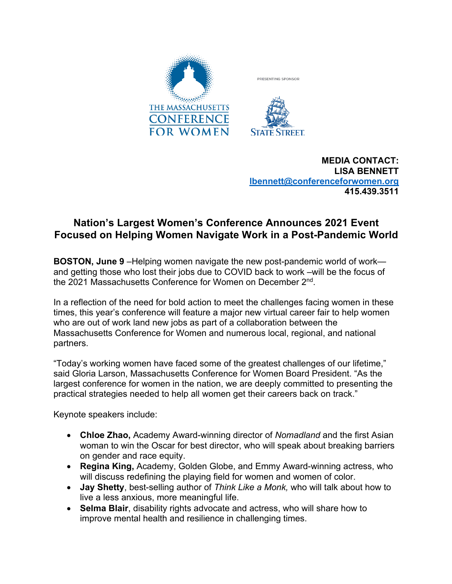

**MEDIA CONTACT: LISA BENNETT lbennett@conferenceforwomen.org 415.439.3511**

## **Nation's Largest Women's Conference Announces 2021 Event Focused on Helping Women Navigate Work in a Post-Pandemic World**

**BOSTON, June 9** –Helping women navigate the new post-pandemic world of work and getting those who lost their jobs due to COVID back to work –will be the focus of the 2021 Massachusetts Conference for Women on December 2nd.

In a reflection of the need for bold action to meet the challenges facing women in these times, this year's conference will feature a major new virtual career fair to help women who are out of work land new jobs as part of a collaboration between the Massachusetts Conference for Women and numerous local, regional, and national partners.

"Today's working women have faced some of the greatest challenges of our lifetime," said Gloria Larson, Massachusetts Conference for Women Board President. "As the largest conference for women in the nation, we are deeply committed to presenting the practical strategies needed to help all women get their careers back on track."

Keynote speakers include:

- **Chloe Zhao,** Academy Award-winning director of *Nomadland* and the first Asian woman to win the Oscar for best director, who will speak about breaking barriers on gender and race equity.
- **Regina King,** Academy, Golden Globe, and Emmy Award-winning actress, who will discuss redefining the playing field for women and women of color.
- **Jay Shetty**, best-selling author of *Think Like a Monk,* who will talk about how to live a less anxious, more meaningful life.
- **Selma Blair**, disability rights advocate and actress, who will share how to improve mental health and resilience in challenging times.